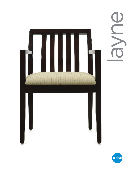

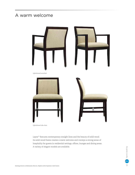# A warm welcome



Upholstered side chair

Layne<sup>m</sup> features contemporary straight lines and the beauty of solid wood. Its solid wood frame creates a warm welcome and conveys a strong sense of hospitality for guests in residential settings, offices, lounges and dining areas. A variety of elegant models are available.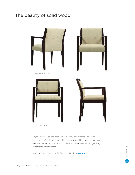# The beauty of solid wood



Picture frame armchair

Layne's frame is crafted with corner blocking and mortise-and-tenon construction. The frame is available in natural wood finishes that match our wood and laminate collections. Choose from a wide selection of upholstery to complement any decor.

Additional information can be found on the Global **[website.](https://www.globalfurnituregroup.com/workplace/products/layne)**